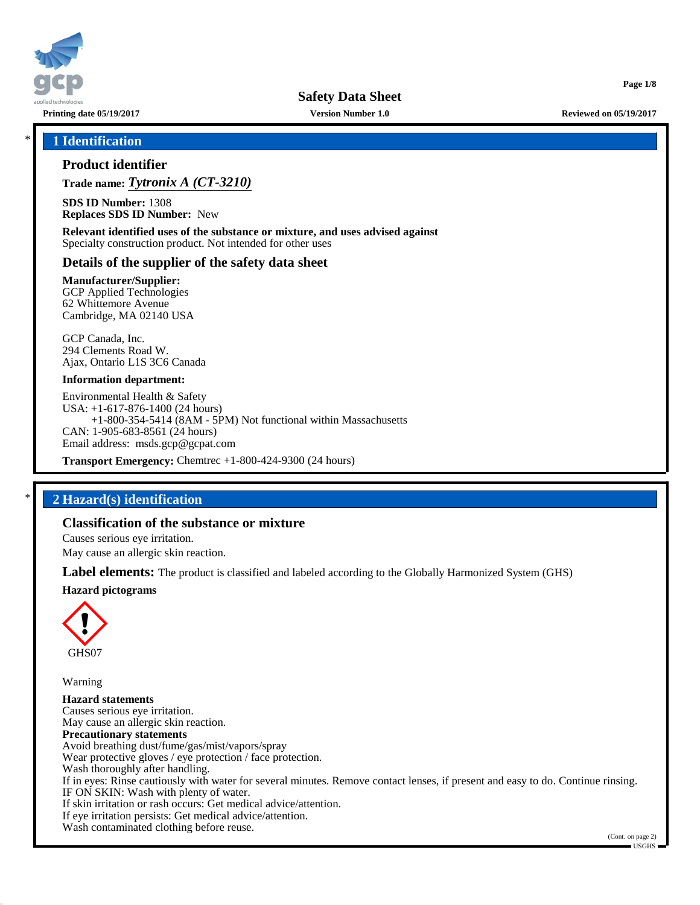

**Printing date 05/19/2017 Version Number 1.0 Reviewed on 05/19/2017**

**Page 1/8**

### \* **1 Identification**

### **Product identifier**

**Trade name:** *Tytronix A (CT-3210)*

**SDS ID Number:** 1308 **Replaces SDS ID Number:** New

**Relevant identified uses of the substance or mixture, and uses advised against** Specialty construction product. Not intended for other uses

### **Details of the supplier of the safety data sheet**

**Manufacturer/Supplier:** GCP Applied Technologies 62 Whittemore Avenue Cambridge, MA 02140 USA

GCP Canada, Inc. 294 Clements Road W. Ajax, Ontario L1S 3C6 Canada

#### **Information department:**

Environmental Health & Safety USA: +1-617-876-1400 (24 hours) +1-800-354-5414 (8AM - 5PM) Not functional within Massachusetts CAN: 1-905-683-8561 (24 hours) Email address: msds.gcp@gcpat.com

**Transport Emergency:** Chemtrec +1-800-424-9300 (24 hours)

### \* **2 Hazard(s) identification**

### **Classification of the substance or mixture**

Causes serious eye irritation.

May cause an allergic skin reaction.

**Label elements:** The product is classified and labeled according to the Globally Harmonized System (GHS) **Hazard pictograms**



Warning

**Hazard statements** Causes serious eye irritation. May cause an allergic skin reaction. **Precautionary statements** Avoid breathing dust/fume/gas/mist/vapors/spray Wear protective gloves / eye protection / face protection. Wash thoroughly after handling. If in eyes: Rinse cautiously with water for several minutes. Remove contact lenses, if present and easy to do. Continue rinsing. IF ON SKIN: Wash with plenty of water. If skin irritation or rash occurs: Get medical advice/attention. If eye irritation persists: Get medical advice/attention. Wash contaminated clothing before reuse.

<sup>(</sup>Cont. on page 2) USGHS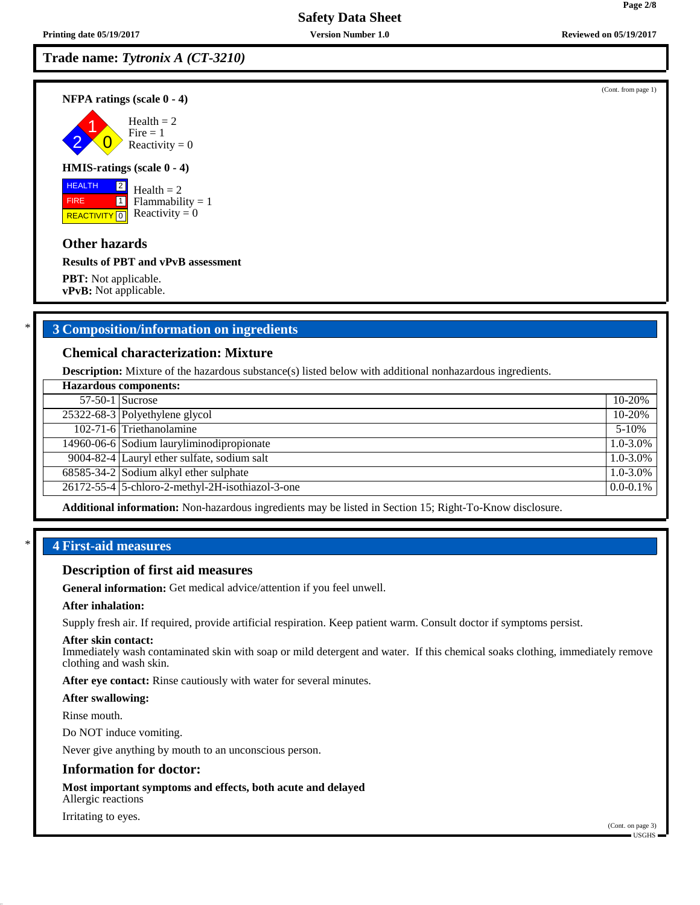**NFPA ratings (scale 0 - 4)**

2 1  $\overline{0}$  $Health = 2$  $Fire = 1$ Reactivity  $= 0$ 

### **HMIS-ratings (scale 0 - 4)**

 HEALTH FIRE **REACTIVITY** 0 2  $\boxed{1}$ 

 $Health = 2$  $Flammability = 1$ Reactivity  $= 0$ 

### **Other hazards**

**Results of PBT and vPvB assessment**

**PBT:** Not applicable. **vPvB:** Not applicable.

### \* **3 Composition/information on ingredients**

### **Chemical characterization: Mixture**

**Description:** Mixture of the hazardous substance(s) listed below with additional nonhazardous ingredients.

| <b>Hazardous components:</b> |                                                  |               |  |
|------------------------------|--------------------------------------------------|---------------|--|
|                              | $57-50-1$ Sucrose                                | 10-20%        |  |
|                              | 25322-68-3 Polyethylene glycol                   | 10-20%        |  |
|                              | 102-71-6 Triethanolamine                         | $5 - 10%$     |  |
|                              | 14960-06-6 Sodium lauryliminodipropionate        | $1.0 - 3.0\%$ |  |
|                              | 9004-82-4 Lauryl ether sulfate, sodium salt      | $1.0 - 3.0\%$ |  |
|                              | 68585-34-2 Sodium alkyl ether sulphate           | $1.0 - 3.0\%$ |  |
|                              | 26172-55-4 5-chloro-2-methyl-2H-isothiazol-3-one | $0.0 - 0.1\%$ |  |
|                              |                                                  |               |  |

**Additional information:** Non-hazardous ingredients may be listed in Section 15; Right-To-Know disclosure.

### \* **4 First-aid measures**

#### **Description of first aid measures**

**General information:** Get medical advice/attention if you feel unwell.

#### **After inhalation:**

Supply fresh air. If required, provide artificial respiration. Keep patient warm. Consult doctor if symptoms persist.

#### **After skin contact:**

Immediately wash contaminated skin with soap or mild detergent and water. If this chemical soaks clothing, immediately remove clothing and wash skin.

**After eye contact:** Rinse cautiously with water for several minutes.

#### **After swallowing:**

Rinse mouth.

Do NOT induce vomiting.

Never give anything by mouth to an unconscious person.

### **Information for doctor:**

**Most important symptoms and effects, both acute and delayed**

Allergic reactions

### Irritating to eyes.

(Cont. from page 1)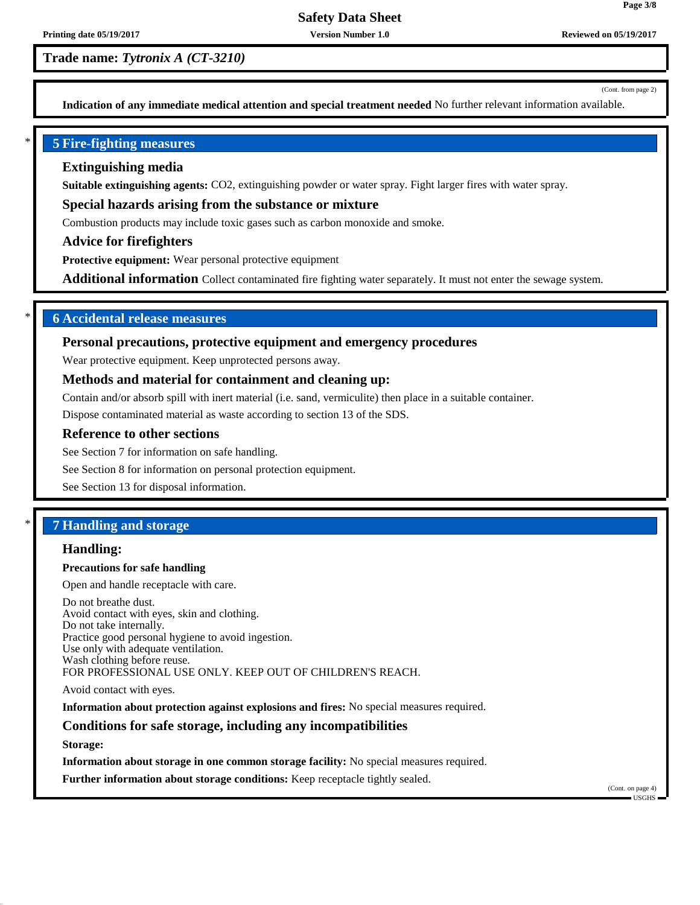(Cont. from page 2)

**Page 3/8**

**Indication of any immediate medical attention and special treatment needed** No further relevant information available.

### \* **5 Fire-fighting measures**

### **Extinguishing media**

**Suitable extinguishing agents:** CO2, extinguishing powder or water spray. Fight larger fires with water spray.

#### **Special hazards arising from the substance or mixture**

Combustion products may include toxic gases such as carbon monoxide and smoke.

#### **Advice for firefighters**

**Protective equipment:** Wear personal protective equipment

**Additional information** Collect contaminated fire fighting water separately. It must not enter the sewage system.

### \* **6 Accidental release measures**

#### **Personal precautions, protective equipment and emergency procedures**

Wear protective equipment. Keep unprotected persons away.

### **Methods and material for containment and cleaning up:**

Contain and/or absorb spill with inert material (i.e. sand, vermiculite) then place in a suitable container.

Dispose contaminated material as waste according to section 13 of the SDS.

#### **Reference to other sections**

See Section 7 for information on safe handling.

See Section 8 for information on personal protection equipment.

See Section 13 for disposal information.

### \* **7 Handling and storage**

#### **Handling:**

#### **Precautions for safe handling**

Open and handle receptacle with care.

Do not breathe dust. Avoid contact with eyes, skin and clothing. Do not take internally. Practice good personal hygiene to avoid ingestion. Use only with adequate ventilation. Wash clothing before reuse. FOR PROFESSIONAL USE ONLY. KEEP OUT OF CHILDREN'S REACH.

Avoid contact with eyes.

**Information about protection against explosions and fires:** No special measures required.

#### **Conditions for safe storage, including any incompatibilities**

**Storage:**

**Information about storage in one common storage facility:** No special measures required.

**Further information about storage conditions:** Keep receptacle tightly sealed.

(Cont. on page 4)  $\blacksquare$  USGHS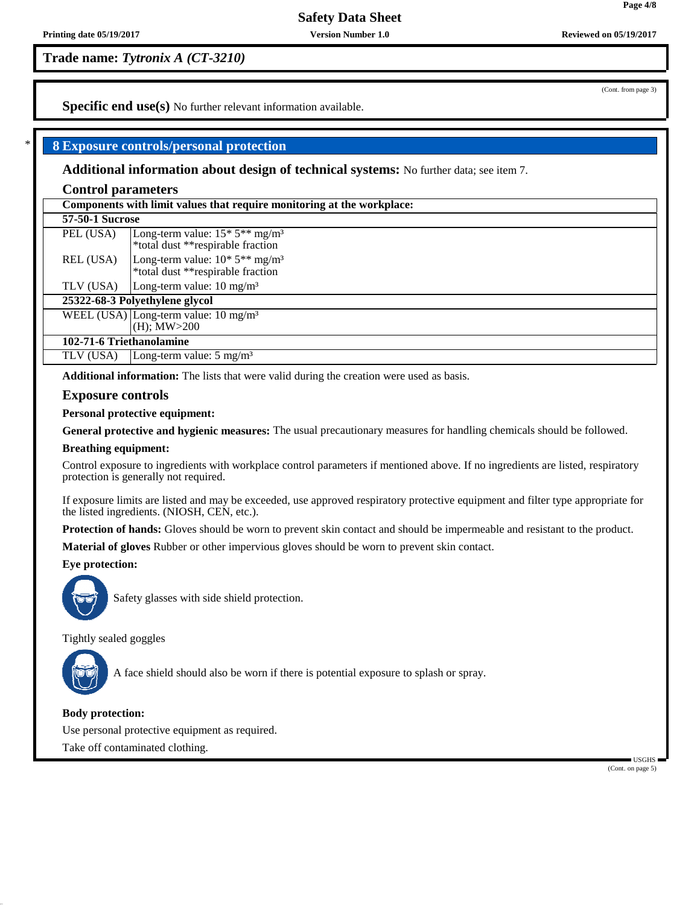**Trade name:** *Tytronix A (CT-3210)*

**Specific end use(s)** No further relevant information available.

### \* **8 Exposure controls/personal protection**

**Additional information about design of technical systems:** No further data; see item 7.

#### **Control parameters**

| Components with limit values that require monitoring at the workplace: |                                                                                                |  |
|------------------------------------------------------------------------|------------------------------------------------------------------------------------------------|--|
| <b>57-50-1 Sucrose</b>                                                 |                                                                                                |  |
| PEL (USA)                                                              | Long-term value: $15*5**mg/m3$<br>*total dust **respirable fraction                            |  |
| REL (USA)                                                              | Long-term value: $10^*$ 5 <sup>**</sup> mg/m <sup>3</sup><br>*total dust **respirable fraction |  |
| TLV (USA)                                                              | Long-term value: $10 \text{ mg/m}^3$                                                           |  |
| 25322-68-3 Polyethylene glycol                                         |                                                                                                |  |
|                                                                        | WEEL (USA) Long-term value: $10 \text{ mg/m}^3$<br>$(H)$ ; $MW > 200$                          |  |
| 102-71-6 Triethanolamine                                               |                                                                                                |  |
| TLV (USA)                                                              | Long-term value: $5 \text{ mg/m}^3$                                                            |  |
|                                                                        |                                                                                                |  |

**Additional information:** The lists that were valid during the creation were used as basis.

### **Exposure controls**

**Personal protective equipment:**

**General protective and hygienic measures:** The usual precautionary measures for handling chemicals should be followed.

#### **Breathing equipment:**

Control exposure to ingredients with workplace control parameters if mentioned above. If no ingredients are listed, respiratory protection is generally not required.

If exposure limits are listed and may be exceeded, use approved respiratory protective equipment and filter type appropriate for the listed ingredients. (NIOSH, CEN, etc.).

**Protection of hands:** Gloves should be worn to prevent skin contact and should be impermeable and resistant to the product.

**Material of gloves** Rubber or other impervious gloves should be worn to prevent skin contact.

### **Eye protection:**



Safety glasses with side shield protection.

Tightly sealed goggles



A face shield should also be worn if there is potential exposure to splash or spray.

#### **Body protection:**

Use personal protective equipment as required.

Take off contaminated clothing.

 USGHS (Cont. on page 5)

**Page 4/8**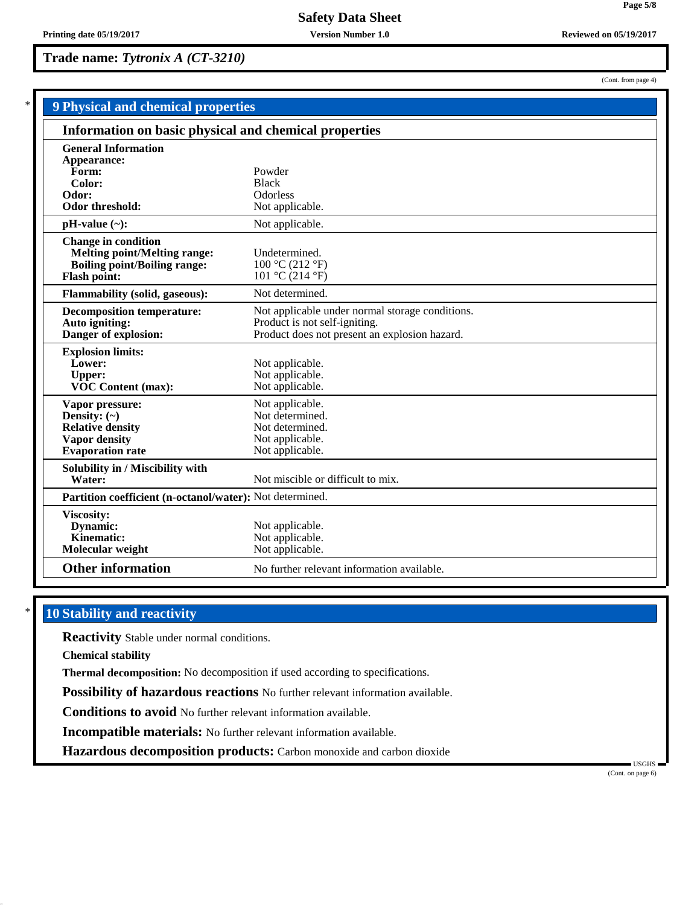(Cont. from page 4)

**Page 5/8**

| <b>9 Physical and chemical properties</b>                |                                                 |  |  |  |
|----------------------------------------------------------|-------------------------------------------------|--|--|--|
| Information on basic physical and chemical properties    |                                                 |  |  |  |
| <b>General Information</b>                               |                                                 |  |  |  |
| Appearance:                                              |                                                 |  |  |  |
| Form:                                                    | Powder                                          |  |  |  |
| Color:                                                   | <b>Black</b>                                    |  |  |  |
| Odor:                                                    | <b>Odorless</b>                                 |  |  |  |
| Odor threshold:                                          | Not applicable.                                 |  |  |  |
| $pH-value$ (~):                                          | Not applicable.                                 |  |  |  |
| <b>Change in condition</b>                               |                                                 |  |  |  |
| <b>Melting point/Melting range:</b>                      | Undetermined.                                   |  |  |  |
| <b>Boiling point/Boiling range:</b>                      | 100 °C (212 °F)                                 |  |  |  |
| <b>Flash point:</b>                                      | 101 °C (214 °F)                                 |  |  |  |
| <b>Flammability (solid, gaseous):</b>                    | Not determined.                                 |  |  |  |
| <b>Decomposition temperature:</b>                        | Not applicable under normal storage conditions. |  |  |  |
| Auto igniting:                                           | Product is not self-igniting.                   |  |  |  |
| Danger of explosion:                                     | Product does not present an explosion hazard.   |  |  |  |
| <b>Explosion limits:</b>                                 |                                                 |  |  |  |
| Lower:                                                   | Not applicable.                                 |  |  |  |
| <b>Upper:</b>                                            | Not applicable.                                 |  |  |  |
| VOC Content (max):                                       | Not applicable.                                 |  |  |  |
| Vapor pressure:                                          | Not applicable.                                 |  |  |  |
| Density: $(\sim)$                                        | Not determined.                                 |  |  |  |
| <b>Relative density</b>                                  | Not determined.                                 |  |  |  |
| <b>Vapor density</b>                                     | Not applicable.                                 |  |  |  |
| <b>Evaporation</b> rate                                  | Not applicable.                                 |  |  |  |
| Solubility in / Miscibility with                         |                                                 |  |  |  |
| Water:                                                   | Not miscible or difficult to mix.               |  |  |  |
| Partition coefficient (n-octanol/water): Not determined. |                                                 |  |  |  |
| Viscosity:                                               |                                                 |  |  |  |
| Dynamic:                                                 | Not applicable.                                 |  |  |  |
| Kinematic:                                               | Not applicable.                                 |  |  |  |
| Molecular weight                                         | Not applicable.                                 |  |  |  |
| <b>Other information</b>                                 | No further relevant information available.      |  |  |  |

# **10 Stability and reactivity**

**Reactivity** Stable under normal conditions.

**Chemical stability**

**Thermal decomposition:** No decomposition if used according to specifications.

**Possibility of hazardous reactions** No further relevant information available.

**Conditions to avoid** No further relevant information available.

**Incompatible materials:** No further relevant information available.

**Hazardous decomposition products:** Carbon monoxide and carbon dioxide

 USGHS (Cont. on page 6)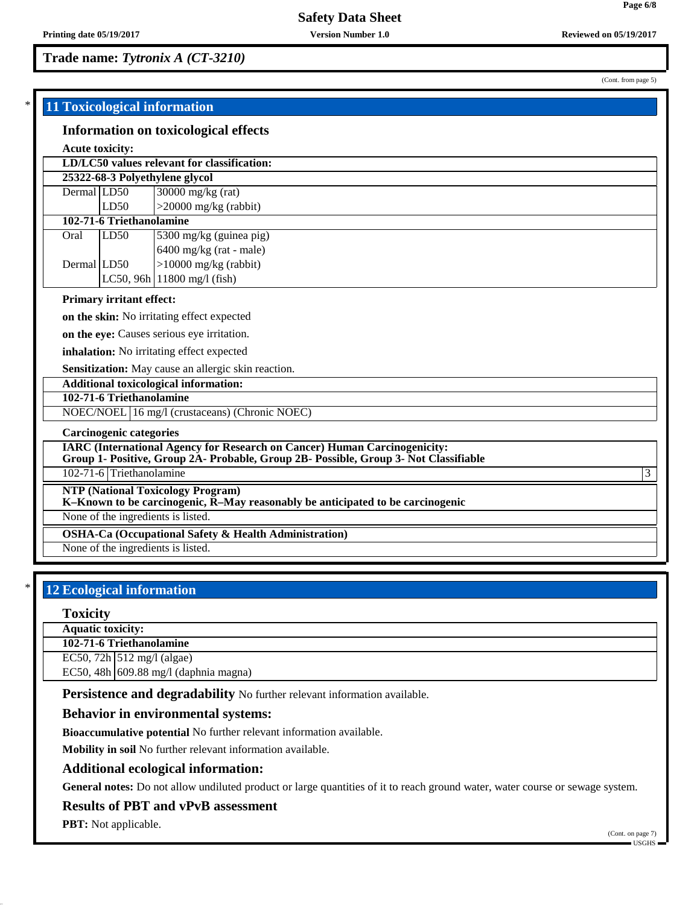(Cont. from page 5)

|             | 11 Toxicological information    |                                                                                                                                                                          |   |  |  |
|-------------|---------------------------------|--------------------------------------------------------------------------------------------------------------------------------------------------------------------------|---|--|--|
|             |                                 | <b>Information on toxicological effects</b>                                                                                                                              |   |  |  |
|             | <b>Acute toxicity:</b>          |                                                                                                                                                                          |   |  |  |
|             |                                 | LD/LC50 values relevant for classification:                                                                                                                              |   |  |  |
|             |                                 | 25322-68-3 Polyethylene glycol                                                                                                                                           |   |  |  |
| Dermal LD50 |                                 | $\sqrt{30000}$ mg/kg (rat)                                                                                                                                               |   |  |  |
|             | LD50                            | $>$ 20000 mg/kg (rabbit)                                                                                                                                                 |   |  |  |
|             | 102-71-6 Triethanolamine        |                                                                                                                                                                          |   |  |  |
| Oral        | LD <sub>50</sub>                | 5300 mg/kg (guinea pig)                                                                                                                                                  |   |  |  |
|             |                                 | $6400$ mg/kg (rat - male)                                                                                                                                                |   |  |  |
| Dermal LD50 |                                 | $>10000$ mg/kg (rabbit)                                                                                                                                                  |   |  |  |
|             |                                 | LC50, 96h $11800$ mg/l (fish)                                                                                                                                            |   |  |  |
|             | <b>Primary irritant effect:</b> |                                                                                                                                                                          |   |  |  |
|             |                                 | on the skin: No irritating effect expected                                                                                                                               |   |  |  |
|             |                                 | on the eye: Causes serious eye irritation.                                                                                                                               |   |  |  |
|             |                                 | inhalation: No irritating effect expected                                                                                                                                |   |  |  |
|             |                                 | Sensitization: May cause an allergic skin reaction.                                                                                                                      |   |  |  |
|             |                                 | <b>Additional toxicological information:</b>                                                                                                                             |   |  |  |
|             | 102-71-6 Triethanolamine        |                                                                                                                                                                          |   |  |  |
|             |                                 | NOEC/NOEL 16 mg/l (crustaceans) (Chronic NOEC)                                                                                                                           |   |  |  |
|             | <b>Carcinogenic categories</b>  |                                                                                                                                                                          |   |  |  |
|             |                                 | <b>IARC</b> (International Agency for Research on Cancer) Human Carcinogenicity:<br>Group 1- Positive, Group 2A- Probable, Group 2B- Possible, Group 3- Not Classifiable |   |  |  |
|             | 102-71-6 Triethanolamine        |                                                                                                                                                                          | 3 |  |  |
|             |                                 | <b>NTP (National Toxicology Program)</b><br>K-Known to be carcinogenic, $\breve{R}$ -May reasonably be anticipated to be carcinogenic                                    |   |  |  |
|             |                                 | None of the ingredients is listed.                                                                                                                                       |   |  |  |
|             |                                 | <b>OSHA-Ca (Occupational Safety &amp; Health Administration)</b>                                                                                                         |   |  |  |
|             |                                 | None of the ingredients is listed.                                                                                                                                       |   |  |  |

# **12 Ecological information**

#### **Toxicity**

**Aquatic toxicity:**

**102-71-6 Triethanolamine**

EC50, 72h 512 mg/l (algae)

EC50, 48h 609.88 mg/l (daphnia magna)

Persistence and degradability No further relevant information available.

### **Behavior in environmental systems:**

**Bioaccumulative potential** No further relevant information available.

**Mobility in soil** No further relevant information available.

### **Additional ecological information:**

**General notes:** Do not allow undiluted product or large quantities of it to reach ground water, water course or sewage system.

### **Results of PBT and vPvB assessment**

**PBT:** Not applicable.

(Cont. on page 7) USGHS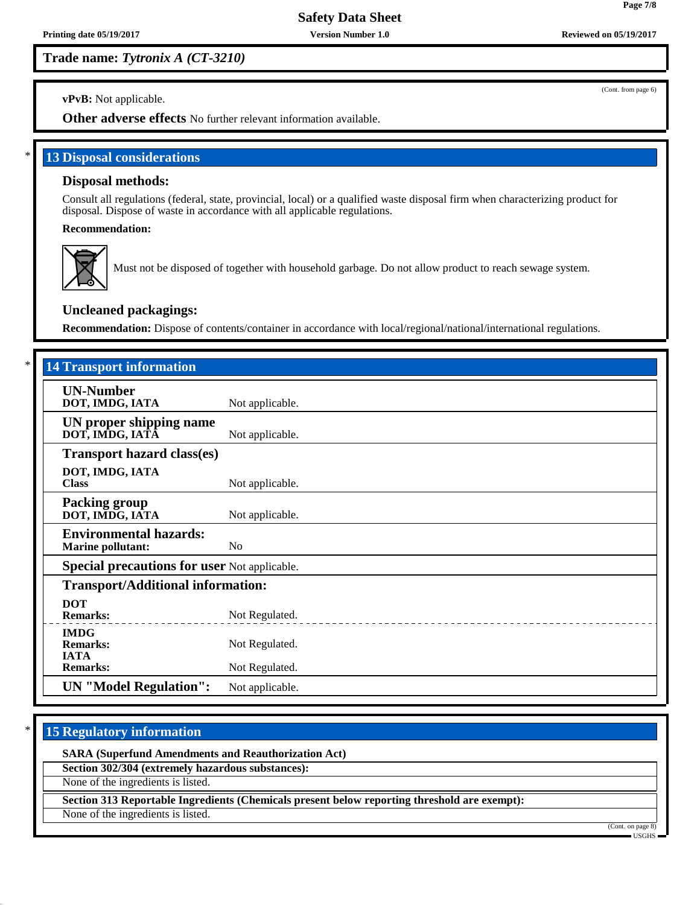**Printing date 05/19/2017 Version Number 1.0 Reviewed on 05/19/2017**

**Trade name:** *Tytronix A (CT-3210)*

(Cont. from page 6)

**vPvB:** Not applicable.

**Other adverse effects** No further relevant information available.

**13 Disposal considerations** 

## **Disposal methods:**

Consult all regulations (federal, state, provincial, local) or a qualified waste disposal firm when characterizing product for disposal. Dispose of waste in accordance with all applicable regulations.

**Recommendation:**



Must not be disposed of together with household garbage. Do not allow product to reach sewage system.

### **Uncleaned packagings:**

**Recommendation:** Dispose of contents/container in accordance with local/regional/national/international regulations.

| <b>14 Transport information</b>                           |                 |  |  |  |
|-----------------------------------------------------------|-----------------|--|--|--|
| <b>UN-Number</b><br>DOT, IMDG, IATA                       | Not applicable. |  |  |  |
| UN proper shipping name<br>DOT, IMDG, IATA                | Not applicable. |  |  |  |
| <b>Transport hazard class(es)</b>                         |                 |  |  |  |
| DOT, IMDG, IATA<br><b>Class</b>                           | Not applicable. |  |  |  |
| <b>Packing group</b><br>DOT, IMDG, IATA                   | Not applicable. |  |  |  |
| <b>Environmental hazards:</b><br><b>Marine pollutant:</b> | N <sub>0</sub>  |  |  |  |
| <b>Special precautions for user Not applicable.</b>       |                 |  |  |  |
| <b>Transport/Additional information:</b>                  |                 |  |  |  |
| <b>DOT</b><br><b>Remarks:</b>                             | Not Regulated.  |  |  |  |
| <b>IMDG</b><br><b>Remarks:</b>                            | Not Regulated.  |  |  |  |
| <b>IATA</b><br><b>Remarks:</b>                            | Not Regulated.  |  |  |  |
| <b>UN</b> "Model Regulation":                             | Not applicable. |  |  |  |

# **15 Regulatory information**

**SARA (Superfund Amendments and Reauthorization Act)**

**Section 302/304 (extremely hazardous substances):**

None of the ingredients is listed.

**Section 313 Reportable Ingredients (Chemicals present below reporting threshold are exempt):**

None of the ingredients is listed.

(Cont. on page 8)